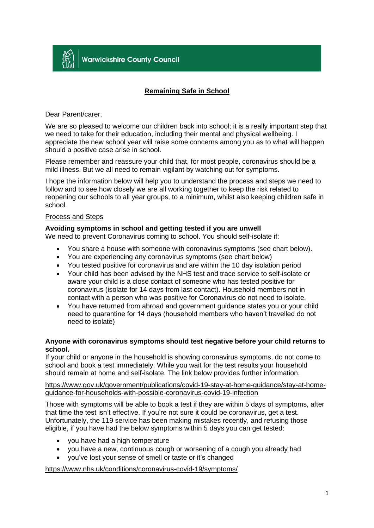

# **Remaining Safe in School**

## Dear Parent/carer,

We are so pleased to welcome our children back into school; it is a really important step that we need to take for their education, including their mental and physical wellbeing. I appreciate the new school year will raise some concerns among you as to what will happen should a positive case arise in school.

Please remember and reassure your child that, for most people, coronavirus should be a mild illness. But we all need to remain vigilant by watching out for symptoms.

I hope the information below will help you to understand the process and steps we need to follow and to see how closely we are all working together to keep the risk related to reopening our schools to all year groups, to a minimum, whilst also keeping children safe in school.

## Process and Steps

# **Avoiding symptoms in school and getting tested if you are unwell**

We need to prevent Coronavirus coming to school. You should self-isolate if:

- You share a house with someone with coronavirus symptoms (see chart below).
- You are experiencing any coronavirus symptoms (see chart below)
- You tested positive for coronavirus and are within the 10 day isolation period
- Your child has been advised by the NHS test and trace service to self-isolate or aware your child is a close contact of someone who has tested positive for coronavirus (isolate for 14 days from last contact). Household members not in contact with a person who was positive for Coronavirus do not need to isolate.
- You have returned from abroad and government guidance states you or your child need to quarantine for 14 days (household members who haven't travelled do not need to isolate)

## **Anyone with coronavirus symptoms should test negative before your child returns to school.**

If your child or anyone in the household is showing coronavirus symptoms, do not come to school and book a test immediately. While you wait for the test results your household should remain at home and self-isolate. The link below provides further information.

[https://www.gov.uk/government/publications/covid-19-stay-at-home-guidance/stay-at-home](https://www.gov.uk/government/publications/covid-19-stay-at-home-guidance/stay-at-home-guidance-for-households-with-possible-coronavirus-covid-19-infection)[guidance-for-households-with-possible-coronavirus-covid-19-infection](https://www.gov.uk/government/publications/covid-19-stay-at-home-guidance/stay-at-home-guidance-for-households-with-possible-coronavirus-covid-19-infection)

Those with symptoms will be able to book a test if they are within 5 days of symptoms, after that time the test isn't effective. If you're not sure it could be coronavirus, get a test. Unfortunately, the 119 service has been making mistakes recently, and refusing those eligible, if you have had the below symptoms within 5 days you can get tested:

- you have had a high temperature
- you have a new, continuous cough or worsening of a cough you already had
- you've lost your sense of smell or taste or it's changed

<https://www.nhs.uk/conditions/coronavirus-covid-19/symptoms/>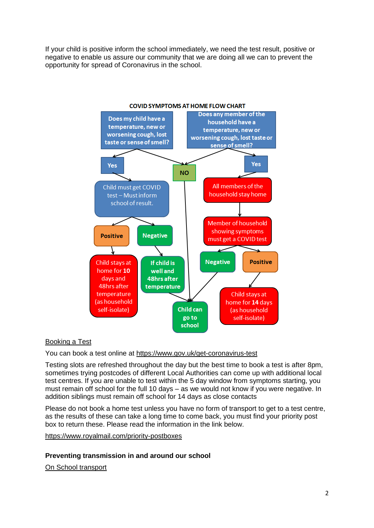If your child is positive inform the school immediately, we need the test result, positive or negative to enable us assure our community that we are doing all we can to prevent the opportunity for spread of Coronavirus in the school.



# Booking a Test

You can book a test online at<https://www.gov.uk/get-coronavirus-test>

Testing slots are refreshed throughout the day but the best time to book a test is after 8pm, sometimes trying postcodes of different Local Authorities can come up with additional local test centres. If you are unable to test within the 5 day window from symptoms starting, you must remain off school for the full 10 days – as we would not know if you were negative. In addition siblings must remain off school for 14 days as close contacts

Please do not book a home test unless you have no form of transport to get to a test centre, as the results of these can take a long time to come back, you must find your priority post box to return these. Please read the information in the link below.

<https://www.royalmail.com/priority-postboxes>

## **Preventing transmission in and around our school**

On School transport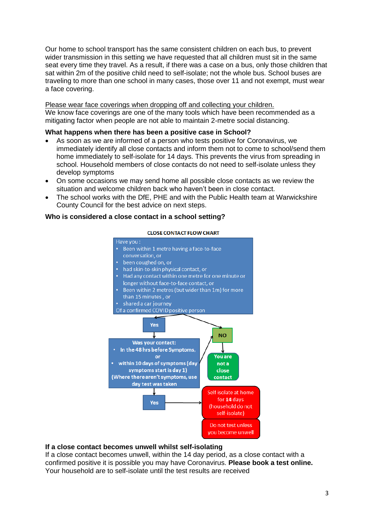Our home to school transport has the same consistent children on each bus, to prevent wider transmission in this setting we have requested that all children must sit in the same seat every time they travel. As a result, if there was a case on a bus, only those children that sat within 2m of the positive child need to self-isolate; not the whole bus. School buses are traveling to more than one school in many cases, those over 11 and not exempt, must wear a face covering.

## Please wear face coverings when dropping off and collecting your children.

We know face coverings are one of the many tools which have been recommended as a mitigating factor when people are not able to maintain 2-metre social distancing.

## **What happens when there has been a positive case in School?**

- As soon as we are informed of a person who tests positive for Coronavirus, we immediately identify all close contacts and inform them not to come to school/send them home immediately to self-isolate for 14 days. This prevents the virus from spreading in school. Household members of close contacts do not need to self-isolate unless they develop symptoms
- On some occasions we may send home all possible close contacts as we review the situation and welcome children back who haven't been in close contact.
- The school works with the DfE, PHE and with the Public Health team at Warwickshire County Council for the best advice on next steps.

# **Who is considered a close contact in a school setting?**

#### **CLOSE CONTACT FLOW CHART**



#### **If a close contact becomes unwell whilst self-isolating**

If a close contact becomes unwell, within the 14 day period, as a close contact with a confirmed positive it is possible you may have Coronavirus. **Please book a test online.**  Your household are to self-isolate until the test results are received